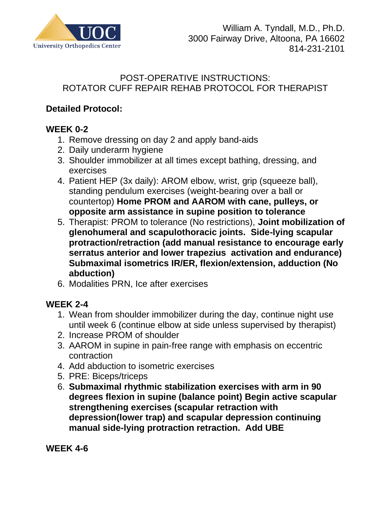

### POST-OPERATIVE INSTRUCTIONS: ROTATOR CUFF REPAIR REHAB PROTOCOL FOR THERAPIST

# **Detailed Protocol:**

# **WEEK 0-2**

- 1. Remove dressing on day 2 and apply band-aids
- 2. Daily underarm hygiene
- 3. Shoulder immobilizer at all times except bathing, dressing, and exercises
- 4. Patient HEP (3x daily): AROM elbow, wrist, grip (squeeze ball), standing pendulum exercises (weight-bearing over a ball or countertop) **Home PROM and AAROM with cane, pulleys, or opposite arm assistance in supine position to tolerance**
- 5. Therapist: PROM to tolerance (No restrictions), **Joint mobilization of glenohumeral and scapulothoracic joints. Side-lying scapular protraction/retraction (add manual resistance to encourage early serratus anterior and lower trapezius activation and endurance) Submaximal isometrics IR/ER, flexion/extension, adduction (No abduction)**
- 6. Modalities PRN, Ice after exercises

## **WEEK 2-4**

- 1. Wean from shoulder immobilizer during the day, continue night use until week 6 (continue elbow at side unless supervised by therapist)
- 2. Increase PROM of shoulder
- 3. AAROM in supine in pain-free range with emphasis on eccentric contraction
- 4. Add abduction to isometric exercises
- 5. PRE: Biceps/triceps
- 6. **Submaximal rhythmic stabilization exercises with arm in 90 degrees flexion in supine (balance point) Begin active scapular strengthening exercises (scapular retraction with depression(lower trap) and scapular depression continuing manual side-lying protraction retraction. Add UBE**

**WEEK 4-6**